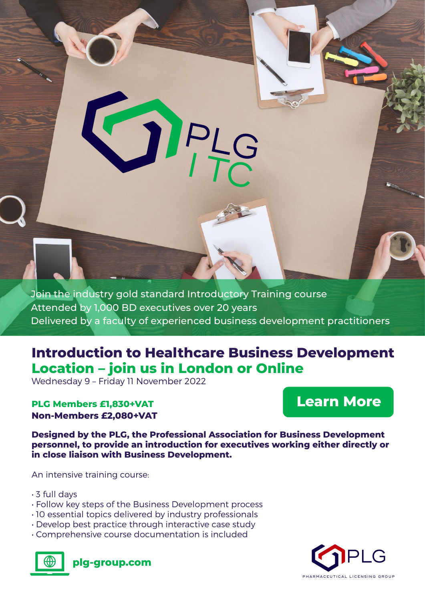Join the industry gold standard Introductory Training course Attended by 1,000 BD executives over 20 years Delivered by a faculty of experienced business development practitioners

OPLS

# **Introduction to Healthcare Business Development Location – join us in London or Online**

Wednesday 9 – Friday 11 November 2022

### **PLG Members £1,830+VAT Non-Members £2,080+VAT**

# **Learn More**

**Designed by the PLG, the Professional Association for Business Development personnel, to provide an introduction for executives working either directly or in close liaison with Business Development.**

An intensive training course:

- 3 full days
- Follow key steps of the Business Development process
- 10 essential topics delivered by industry professionals
- Develop best practice through interactive case study
- Comprehensive course documentation is included